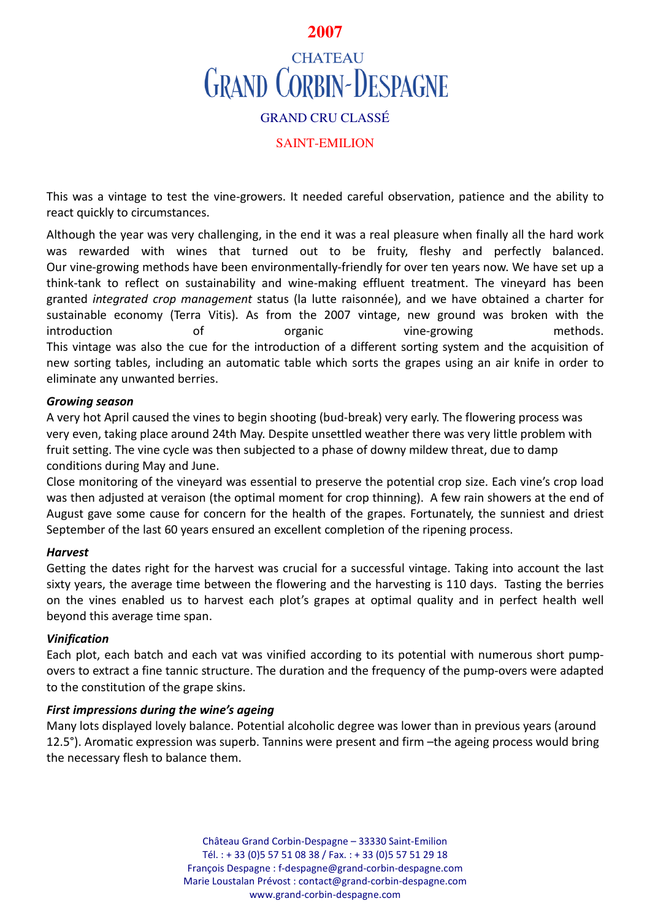## **2007**

# **CHATEAU GRAND CORBIN-DESPAGNE** GRAND CRU CLASSÉ

## SAINT-EMILION

This was a vintage to test the vine-growers. It needed careful observation, patience and the ability to react quickly to circumstances.

Although the year was very challenging, in the end it was a real pleasure when finally all the hard work was rewarded with wines that turned out to be fruity, fleshy and perfectly balanced. Our vine-growing methods have been environmentally-friendly for over ten years now. We have set up a think-tank to reflect on sustainability and wine-making effluent treatment. The vineyard has been granted *integrated crop management* status (la lutte raisonnée), and we have obtained a charter for sustainable economy (Terra Vitis). As from the 2007 vintage, new ground was broken with the introduction of organic vine-growing methods. This vintage was also the cue for the introduction of a different sorting system and the acquisition of new sorting tables, including an automatic table which sorts the grapes using an air knife in order to eliminate any unwanted berries.

#### *Growing season*

A very hot April caused the vines to begin shooting (bud-break) very early. The flowering process was very even, taking place around 24th May. Despite unsettled weather there was very little problem with fruit setting. The vine cycle was then subjected to a phase of downy mildew threat, due to damp conditions during May and June.

Close monitoring of the vineyard was essential to preserve the potential crop size. Each vine's crop load was then adjusted at veraison (the optimal moment for crop thinning). A few rain showers at the end of August gave some cause for concern for the health of the grapes. Fortunately, the sunniest and driest September of the last 60 years ensured an excellent completion of the ripening process.

## *Harvest*

Getting the dates right for the harvest was crucial for a successful vintage. Taking into account the last sixty years, the average time between the flowering and the harvesting is 110 days. Tasting the berries on the vines enabled us to harvest each plot's grapes at optimal quality and in perfect health well beyond this average time span.

#### *Vinification*

Each plot, each batch and each vat was vinified according to its potential with numerous short pumpovers to extract a fine tannic structure. The duration and the frequency of the pump-overs were adapted to the constitution of the grape skins.

## *First impressions during the wine's ageing*

Many lots displayed lovely balance. Potential alcoholic degree was lower than in previous years (around 12.5°). Aromatic expression was superb. Tannins were present and firm –the ageing process would bring the necessary flesh to balance them.

> Château Grand Corbin-Despagne – 33330 Saint-Emilion Tél. : + 33 (0)5 57 51 08 38 / Fax. : + 33 (0)5 57 51 29 18 François Despagne : f-despagne@grand-corbin-despagne.com Marie Loustalan Prévost : contact@grand-corbin-despagne.com www.grand-corbin-despagne.com